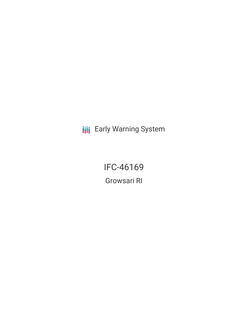**III** Early Warning System

**IFC-46169 Growsari RI**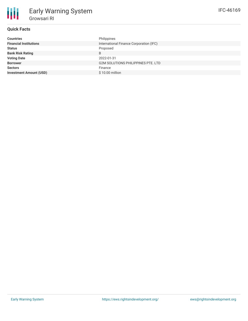# **Quick Facts**

| <b>Countries</b>               | Philippines                               |
|--------------------------------|-------------------------------------------|
| <b>Financial Institutions</b>  | International Finance Corporation (IFC)   |
| <b>Status</b>                  | Proposed                                  |
| <b>Bank Risk Rating</b>        | B                                         |
| <b>Voting Date</b>             | 2022-01-31                                |
| <b>Borrower</b>                | <b>G2M SOLUTIONS PHILIPPINES PTE. LTD</b> |
| <b>Sectors</b>                 | Finance                                   |
| <b>Investment Amount (USD)</b> | $$10.00$ million                          |
|                                |                                           |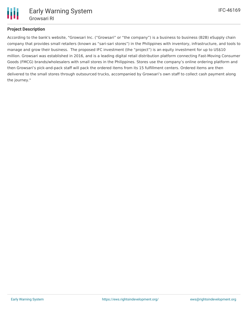

## **Project Description**

According to the bank's website, "Growsari Inc. ("Growsari" or "the company") is a business to business (B2B) eSupply chain company that provides small retailers (known as "sari-sari stores") in the Philippines with inventory, infrastructure, and tools to manage and grow their business. The proposed IFC investment (the "project") is an equity investment for up to US\$10 million. Growsari was established in 2016, and is a leading digital retail distribution platform connecting Fast-Moving Consumer Goods (FMCG) brands/wholesalers with small stores in the Philippines. Stores use the company's online ordering platform and then Growsari's pick-and-pack staff will pack the ordered items from its 15 fulfillment centers. Ordered items are then delivered to the small stores through outsourced trucks, accompanied by Growsari's own staff to collect cash payment along the journey."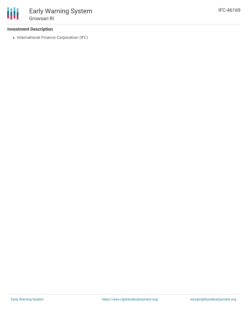### **Investment Description**

• International Finance Corporation (IFC)